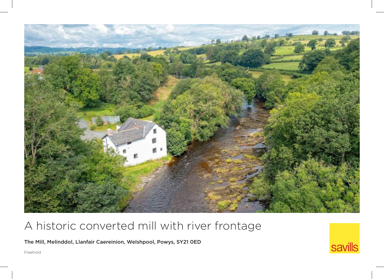

# A historic converted mill with river frontage

The Mill, Melinddol, Llanfair Caereinion, Welshpool, Powys, SY21 0ED

Freehold

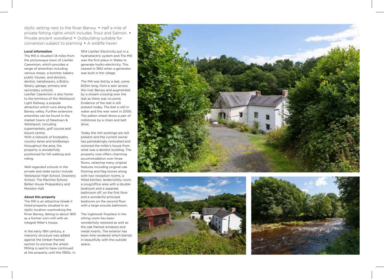Idyllic setting next to the River Banwy. • Half a mile of private fishing rights which includes Trout and Salmon. • Private ancient woodland • Outbuilding suitable for conversion subject to planning • A wildlife haven

#### **Local information**

The Mill is situated 1.8 miles from the picturesque town of Llanfair Caereinion, which provides a range of amenities including various shops, a butcher, bakers, public houses, and doctors, dentist, hairdressers, a Bistro, library, garage, primary and secondary schools. Llanfair Caereinion is also home to the terminus of the Welshpool Light Railway, a popular attraction which runs along the Banwy valley. Further extensive amenities can be found in the market towns of Newtown & Welshpool, including supermarkets, golf course and leisure centre. With a network of footpaths,

country lanes and bridleways throughout the area, the property is wonderfully positioned for hill walking and riding.

Well regarded schools in the private and state sector include Welshpool High School, Oswestry School, The Marches School, Bellan House Preparatory and Moreton Hall.

#### **About this property**

The Mill is an attractive Grade II listed property situated in an idyllic location overlooking the River Banwy, dating to about 1810 as a former corn mill with an integral Miller's house.

In the early 19th century, a masonry structure was added against the timber-framed section to enclose the wheel. Milling is said to have continued at the property until the 1950s. In 1914 Llanfair Electricity put in a hydroelectric system and The Mill was the first place in Wales to generate hydro-electricity. This ceased in 1952 when a generator was built in the village.

The Mill was fed by a leat, some 600m long, from a weir across the river Banwy and augmented by a stream crossing over the leat as there was no pond. Evidence of the leat is still present today. The leat is still in water and the weir went in 2000. The pelton wheel drove a pair of millstones by a chain and belt drive.

Today the mill workings are still present and the current owner has painstakingly renovated and restored the miller's house from what was a derelict building. The property now offers charming accommodation over three floors, retaining many original features including original oak flooring and flag stones along with two reception rooms, a fitted kitchen, larder/utility room, a snug/office area with a double bedroom and a separate bathroom off, on the first floor and a wonderful principal bedroom on the second floor with a large ensuite bathroom.

The inglenook fireplace in the sitting room has been wonderfully restored as well as the oak framed windows and metal inserts. The exterior has been lime rendered which blends in beautifully with the outside space.





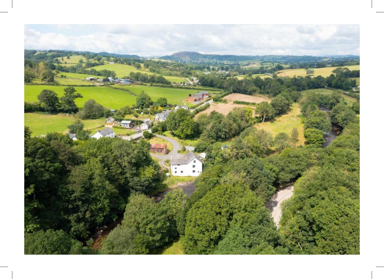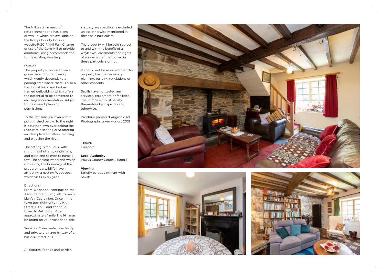The Mill is still in need of refurbishment and has plans drawn up which are available on the Powys County Council website P/2017/1141 Full: Change of use of the Corn Mill to provide additional living accommodation to the existing dwelling.

## Outside

The property is accessed via a gravel 'in and out' driveway which gently descends to a parking area where there is also a traditional brick and timber framed outbuilding which offers the potential to be converted to ancillary accommodation, subject to the correct planning permissions.

To the left side is a lawn with a potting shed below. To the right is a further lawn overlooking the river with a seating area offering an ideal place for alfresco dining and enjoying the river.

The setting is fabulous, with sightings of otter's, kingfishers, and trout and salmon to name a few. The ancient woodland which runs along the boundary of the property is a wildlife haven, attracting a nesting Woodcock which visits every year.

#### Directions:

From Welshpool continue on the A458 before turning left towards Llanfair Caereinion. Once in the town turn right onto the High Street, B4385 and continue towards Melinddol. After approximately 1 mile The Mill may be found on your right hand side.

Services: Mains water, electricity and private drainage by way of a bio-disk fitted in 2019.

All fixtures, fittings and garden

statuary are specifically excluded unless otherwise mentioned in these sale particulars.

The property will be sold subject to and with the benefit of all wayleaves, easements and rights of way whether mentioned in these particulars or not.

It should not be assumed that the property has the necessary planning, building regulations or other consents.

Savills have not tested any services, equipment or facilities. The Purchaser must satisfy themselves by inspection or otherwise.

Brochure prepared August 2021 Photographs taken August 2021

#### **Tenure**

Freehold

## **Local Authority**

Powys County Council. Band E

#### **Viewing**

Strictly by appointment with Savills





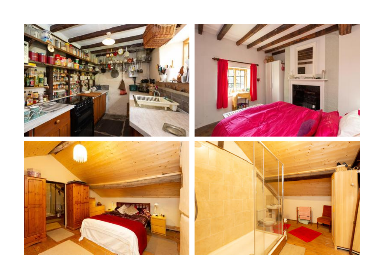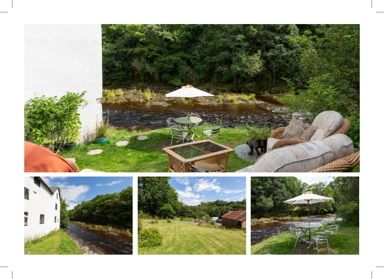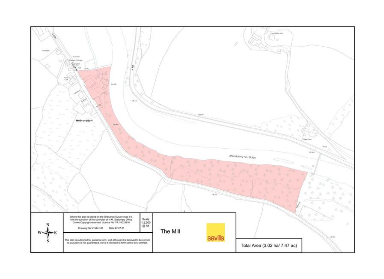